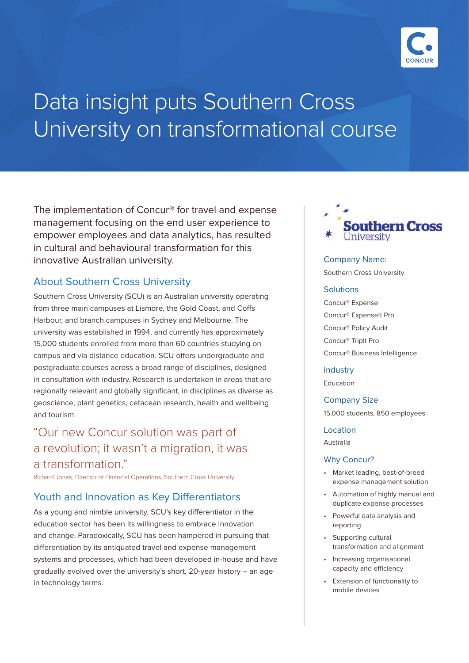

# Data insight puts Southern Cross University on transformational course

The implementation of Concur® for travel and expense management focusing on the end user experience to empower employees and data analytics, has resulted in cultural and behavioural transformation for this innovative Australian university.

# About Southern Cross University

Southern Cross University (SCU) is an Australian university operating from three main campuses at Lismore, the Gold Coast, and Coffs Harbour, and branch campuses in Sydney and Melbourne. The university was established in 1994, and currently has approximately 15,000 students enrolled from more than 60 countries studying on campus and via distance education. SCU offers undergraduate and postgraduate courses across a broad range of disciplines, designed in consultation with industry. Research is undertaken in areas that are regionally relevant and globally significant, in disciplines as diverse as geoscience, plant genetics, cetacean research, health and wellbeing and tourism.

# "Our new Concur solution was part of a revolution; it wasn't a migration, it was a transformation."

Richard Jones, Director of Financial Operations, Southern Cross University

## Youth and Innovation as Key Differentiators

As a young and nimble university, SCU's key differentiator in the education sector has been its willingness to embrace innovation and change. Paradoxically, SCU has been hampered in pursuing that differentiation by its antiquated travel and expense management systems and processes, which had been developed in-house and have gradually evolved over the university's short, 20-year history – an age in technology terms.



Company Name:

Southern Cross University

#### **Solutions**

Concur® Expense Concur® ExpenseIt Pro Concur® Policy Audit Concur® TripIt Pro Concur® Business Intelligence

#### **Industry**

Education

Company Size

15,000 students, 850 employees

#### Location

Australia

#### Why Concur?

- Market leading, best-of-breed expense management solution
- Automation of highly manual and duplicate expense processes
- Powerful data analysis and reporting
- Supporting cultural transformation and alignment
- Increasing organisational capacity and efficiency
- Extension of functionality to mobile devices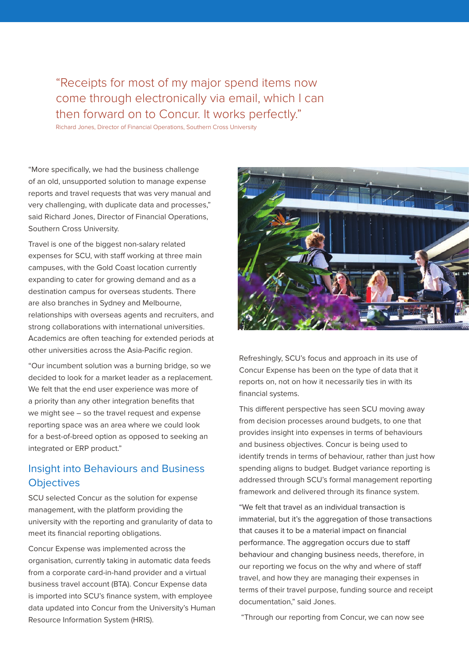# "Receipts for most of my major spend items now come through electronically via email, which I can then forward on to Concur. It works perfectly."

Richard Jones, Director of Financial Operations, Southern Cross University

"More specifically, we had the business challenge of an old, unsupported solution to manage expense reports and travel requests that was very manual and very challenging, with duplicate data and processes," said Richard Jones, Director of Financial Operations, Southern Cross University.

Travel is one of the biggest non-salary related expenses for SCU, with staff working at three main campuses, with the Gold Coast location currently expanding to cater for growing demand and as a destination campus for overseas students. There are also branches in Sydney and Melbourne, relationships with overseas agents and recruiters, and strong collaborations with international universities. Academics are often teaching for extended periods at other universities across the Asia-Pacific region.

"Our incumbent solution was a burning bridge, so we decided to look for a market leader as a replacement. We felt that the end user experience was more of a priority than any other integration benefits that we might see – so the travel request and expense reporting space was an area where we could look for a best-of-breed option as opposed to seeking an integrated or ERP product."

## Insight into Behaviours and Business **Objectives**

SCU selected Concur as the solution for expense management, with the platform providing the university with the reporting and granularity of data to meet its financial reporting obligations.

Concur Expense was implemented across the organisation, currently taking in automatic data feeds from a corporate card-in-hand provider and a virtual business travel account (BTA). Concur Expense data is imported into SCU's finance system, with employee data updated into Concur from the University's Human Resource Information System (HRIS).



Refreshingly, SCU's focus and approach in its use of Concur Expense has been on the type of data that it reports on, not on how it necessarily ties in with its financial systems.

This different perspective has seen SCU moving away from decision processes around budgets, to one that provides insight into expenses in terms of behaviours and business objectives. Concur is being used to identify trends in terms of behaviour, rather than just how spending aligns to budget. Budget variance reporting is addressed through SCU's formal management reporting framework and delivered through its finance system.

"We felt that travel as an individual transaction is immaterial, but it's the aggregation of those transactions that causes it to be a material impact on financial performance. The aggregation occurs due to staff behaviour and changing business needs, therefore, in our reporting we focus on the why and where of staff travel, and how they are managing their expenses in terms of their travel purpose, funding source and receipt documentation," said Jones.

"Through our reporting from Concur, we can now see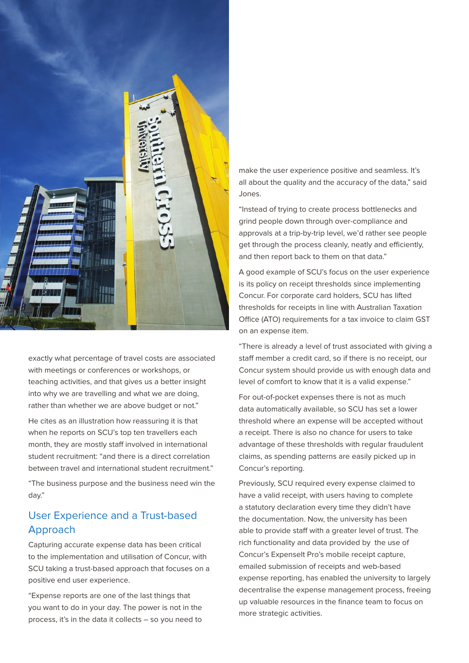

exactly what percentage of travel costs are associated with meetings or conferences or workshops, or teaching activities, and that gives us a better insight into why we are travelling and what we are doing, rather than whether we are above budget or not."

He cites as an illustration how reassuring it is that when he reports on SCU's top ten travellers each month, they are mostly staff involved in international student recruitment: "and there is a direct correlation between travel and international student recruitment."

"The business purpose and the business need win the day."

# User Experience and a Trust-based Approach

Capturing accurate expense data has been critical to the implementation and utilisation of Concur, with SCU taking a trust-based approach that focuses on a positive end user experience.

"Expense reports are one of the last things that you want to do in your day. The power is not in the process, it's in the data it collects – so you need to make the user experience positive and seamless. It's all about the quality and the accuracy of the data," said Jones.

"Instead of trying to create process bottlenecks and grind people down through over-compliance and approvals at a trip-by-trip level, we'd rather see people get through the process cleanly, neatly and efficiently, and then report back to them on that data."

A good example of SCU's focus on the user experience is its policy on receipt thresholds since implementing Concur. For corporate card holders, SCU has lifted thresholds for receipts in line with Australian Taxation Office (ATO) requirements for a tax invoice to claim GST on an expense item.

"There is already a level of trust associated with giving a staff member a credit card, so if there is no receipt, our Concur system should provide us with enough data and level of comfort to know that it is a valid expense."

For out-of-pocket expenses there is not as much data automatically available, so SCU has set a lower threshold where an expense will be accepted without a receipt. There is also no chance for users to take advantage of these thresholds with regular fraudulent claims, as spending patterns are easily picked up in Concur's reporting.

Previously, SCU required every expense claimed to have a valid receipt, with users having to complete a statutory declaration every time they didn't have the documentation. Now, the university has been able to provide staff with a greater level of trust. The rich functionality and data provided by the use of Concur's Expenselt Pro's mobile receipt capture, emailed submission of receipts and web-based expense reporting, has enabled the university to largely decentralise the expense management process, freeing up valuable resources in the finance team to focus on more strategic activities.